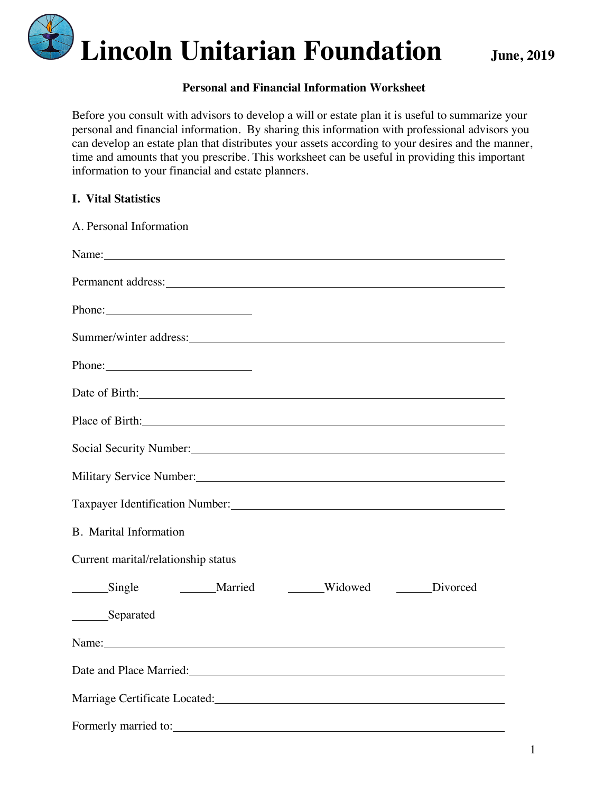

#### **Personal and Financial Information Worksheet**

Before you consult with advisors to develop a will or estate plan it is useful to summarize your personal and financial information. By sharing this information with professional advisors you can develop an estate plan that distributes your assets according to your desires and the manner, time and amounts that you prescribe. This worksheet can be useful in providing this important information to your financial and estate planners.

|  |  | <b>I.</b> Vital Statistics |
|--|--|----------------------------|
|--|--|----------------------------|

| A. Personal Information                                                                                                                                                                                                        |
|--------------------------------------------------------------------------------------------------------------------------------------------------------------------------------------------------------------------------------|
| Name: Name and the set of the set of the set of the set of the set of the set of the set of the set of the set of the set of the set of the set of the set of the set of the set of the set of the set of the set of the set o |
| Permanent address: No. 1996. The Contract of the Contract of the Contract of the Contract of the Contract of the Contract of the Contract of the Contract of the Contract of the Contract of the Contract of the Contract of t |
| Phone:                                                                                                                                                                                                                         |
|                                                                                                                                                                                                                                |
| Phone: 2008                                                                                                                                                                                                                    |
| Date of Birth: 2008 and 2008 and 2008 and 2008 and 2008 and 2008 and 2008 and 2008 and 2008 and 2008 and 2008 and 2008 and 2008 and 2008 and 2008 and 2008 and 2008 and 2008 and 2008 and 2008 and 2008 and 2008 and 2008 and  |
| Place of Birth: No. 1996. The Contract of Birth:                                                                                                                                                                               |
| Social Security Number: 1997                                                                                                                                                                                                   |
| Military Service Number: National Service Service Numbers and Service Service Service Service Service Service S                                                                                                                |
| Taxpayer Identification Number: 1997                                                                                                                                                                                           |
| <b>B.</b> Marital Information                                                                                                                                                                                                  |
| Current marital/relationship status                                                                                                                                                                                            |
| Single Married Widowed Divorced                                                                                                                                                                                                |
| ________Separated                                                                                                                                                                                                              |
| Name: Name and the second contract of the second contract of the second contract of the second contract of the second contract of the second contract of the second contract of the second contract of the second contract of  |
| Date and Place Married:                                                                                                                                                                                                        |
| Marriage Certificate Located: Marriage Certificate Located:                                                                                                                                                                    |
| Formerly married to:                                                                                                                                                                                                           |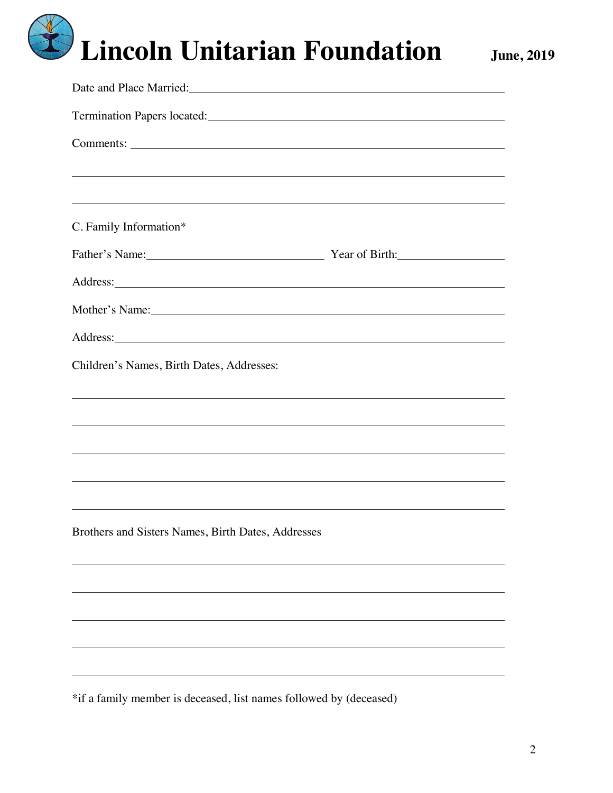| ,我们也不会有什么。""我们的人,我们也不会有什么?""我们的人,我们也不会有什么?""我们的人,我们也不会有什么?""我们的人,我们也不会有什么?""我们的人                                                                                                                                                    |  |  |  |  |  |  |
|-------------------------------------------------------------------------------------------------------------------------------------------------------------------------------------------------------------------------------------|--|--|--|--|--|--|
|                                                                                                                                                                                                                                     |  |  |  |  |  |  |
| C. Family Information*                                                                                                                                                                                                              |  |  |  |  |  |  |
| Father's Name: Vear of Birth:                                                                                                                                                                                                       |  |  |  |  |  |  |
|                                                                                                                                                                                                                                     |  |  |  |  |  |  |
| Mother's Name: Notice and the set of the set of the set of the set of the set of the set of the set of the set of the set of the set of the set of the set of the set of the set of the set of the set of the set of the set o      |  |  |  |  |  |  |
| Address: <u>example</u> and the contract of the contract of the contract of the contract of the contract of the contract of the contract of the contract of the contract of the contract of the contract of the contract of the con |  |  |  |  |  |  |
| Children's Names, Birth Dates, Addresses:                                                                                                                                                                                           |  |  |  |  |  |  |
|                                                                                                                                                                                                                                     |  |  |  |  |  |  |
|                                                                                                                                                                                                                                     |  |  |  |  |  |  |
|                                                                                                                                                                                                                                     |  |  |  |  |  |  |
|                                                                                                                                                                                                                                     |  |  |  |  |  |  |
|                                                                                                                                                                                                                                     |  |  |  |  |  |  |
| Brothers and Sisters Names, Birth Dates, Addresses                                                                                                                                                                                  |  |  |  |  |  |  |
|                                                                                                                                                                                                                                     |  |  |  |  |  |  |
|                                                                                                                                                                                                                                     |  |  |  |  |  |  |
|                                                                                                                                                                                                                                     |  |  |  |  |  |  |
|                                                                                                                                                                                                                                     |  |  |  |  |  |  |
|                                                                                                                                                                                                                                     |  |  |  |  |  |  |
|                                                                                                                                                                                                                                     |  |  |  |  |  |  |

\*if a family member is deceased, list names followed by (deceased)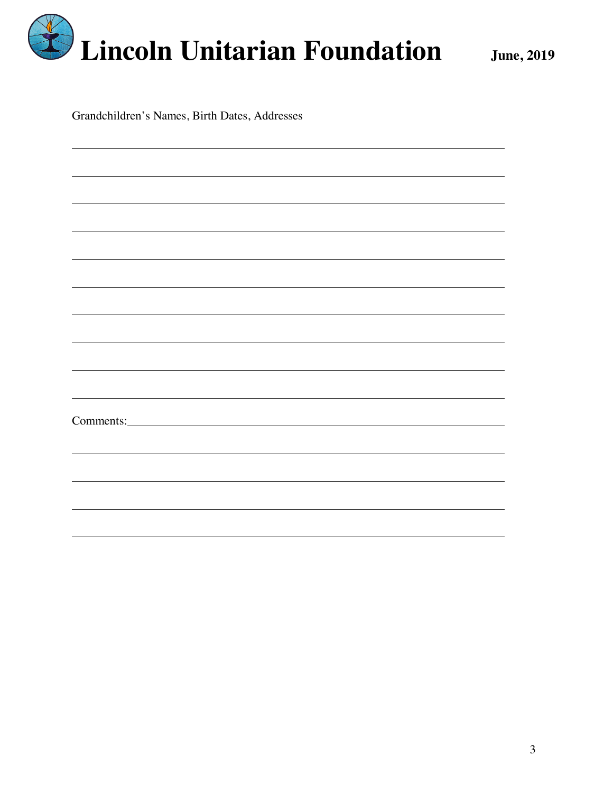

Grandchildren's Names, Birth Dates, Addresses

| Comments: <u>Comments:</u> |  |
|----------------------------|--|
|                            |  |
|                            |  |
|                            |  |
|                            |  |
|                            |  |
|                            |  |
|                            |  |
|                            |  |
|                            |  |
|                            |  |
|                            |  |
|                            |  |
|                            |  |
|                            |  |
|                            |  |
|                            |  |
|                            |  |
|                            |  |
|                            |  |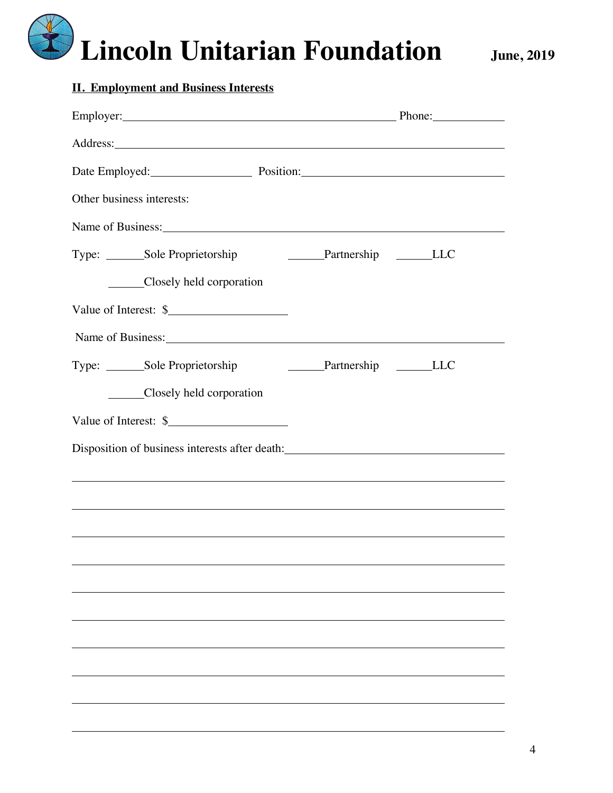| <b>II. Employment and Business Interests</b>                                                       |                                    |  |  |  |  |  |  |
|----------------------------------------------------------------------------------------------------|------------------------------------|--|--|--|--|--|--|
| Employer: Phone: Phone:                                                                            |                                    |  |  |  |  |  |  |
|                                                                                                    |                                    |  |  |  |  |  |  |
|                                                                                                    | Date Employed: Position: Position: |  |  |  |  |  |  |
| Other business interests:                                                                          |                                    |  |  |  |  |  |  |
|                                                                                                    |                                    |  |  |  |  |  |  |
| Type: _______Sole Proprietorship                                                                   | ________Partnership __________LLC  |  |  |  |  |  |  |
| Closely held corporation                                                                           |                                    |  |  |  |  |  |  |
| Value of Interest: \$                                                                              |                                    |  |  |  |  |  |  |
| Name of Business: Name of Business:                                                                |                                    |  |  |  |  |  |  |
| Type: ________Sole Proprietorship<br>Partnership _______LLC                                        |                                    |  |  |  |  |  |  |
| Closely held corporation                                                                           |                                    |  |  |  |  |  |  |
| Value of Interest: \$                                                                              |                                    |  |  |  |  |  |  |
| Disposition of business interests after death: North Management of business interests after death: |                                    |  |  |  |  |  |  |
|                                                                                                    |                                    |  |  |  |  |  |  |
|                                                                                                    |                                    |  |  |  |  |  |  |
|                                                                                                    |                                    |  |  |  |  |  |  |
|                                                                                                    |                                    |  |  |  |  |  |  |
|                                                                                                    |                                    |  |  |  |  |  |  |
|                                                                                                    |                                    |  |  |  |  |  |  |
|                                                                                                    |                                    |  |  |  |  |  |  |
|                                                                                                    |                                    |  |  |  |  |  |  |
|                                                                                                    |                                    |  |  |  |  |  |  |
|                                                                                                    |                                    |  |  |  |  |  |  |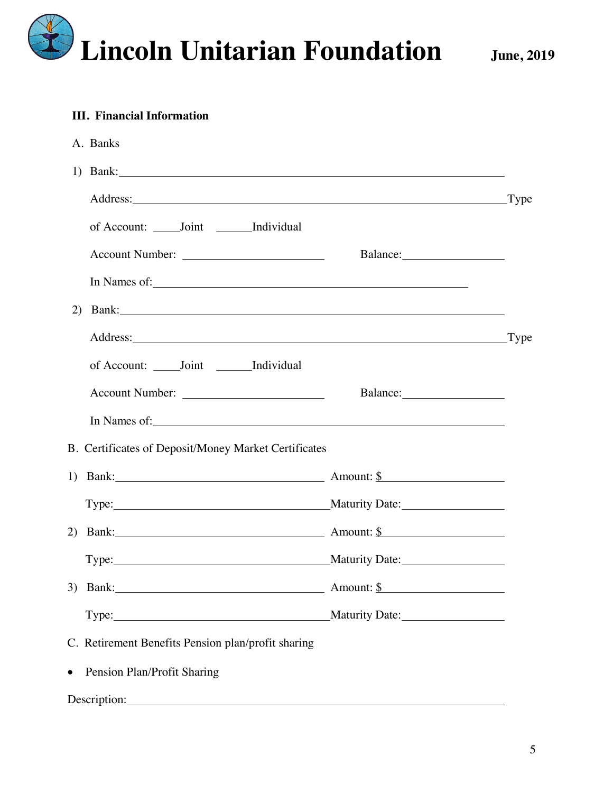

#### **III. Financial Information**

|           | A. Banks                                                                                                                                                                                                                       |               |
|-----------|--------------------------------------------------------------------------------------------------------------------------------------------------------------------------------------------------------------------------------|---------------|
|           | 1) Bank: 2008.                                                                                                                                                                                                                 |               |
|           | Address: Type                                                                                                                                                                                                                  |               |
|           | of Account: Joint Individual                                                                                                                                                                                                   |               |
|           |                                                                                                                                                                                                                                |               |
|           | In Names of: 1988 and 1988 and 1988 and 1988 and 1988 and 1988 and 1988 and 1988 and 1988 and 1988 and 1988 and 1988 and 1988 and 1988 and 1988 and 1988 and 1988 and 1988 and 1988 and 1988 and 1988 and 1988 and 1988 and 19 |               |
| 2)        |                                                                                                                                                                                                                                |               |
|           |                                                                                                                                                                                                                                | $_{\rm Type}$ |
|           | of Account: ______ Joint _______ Individual                                                                                                                                                                                    |               |
|           |                                                                                                                                                                                                                                |               |
|           |                                                                                                                                                                                                                                |               |
|           | B. Certificates of Deposit/Money Market Certificates                                                                                                                                                                           |               |
|           | 1) Bank: $\frac{1}{2}$ Amount: $\frac{1}{2}$                                                                                                                                                                                   |               |
|           |                                                                                                                                                                                                                                |               |
|           | 2) Bank: $\qquad \qquad$ Amount: $\frac{\$}{\$}$                                                                                                                                                                               |               |
|           | Type: Maturity Date:                                                                                                                                                                                                           |               |
|           | 3) Bank: <u>Amount: \$</u> Amount: <u>\$</u>                                                                                                                                                                                   |               |
|           |                                                                                                                                                                                                                                |               |
|           | C. Retirement Benefits Pension plan/profit sharing                                                                                                                                                                             |               |
| $\bullet$ | Pension Plan/Profit Sharing                                                                                                                                                                                                    |               |
|           | Description: New York Contract to the Contract of the Contract of the Contract of the Contract of the Contract of the Contract of the Contract of the Contract of the Contract of the Contract of the Contract of the Contract |               |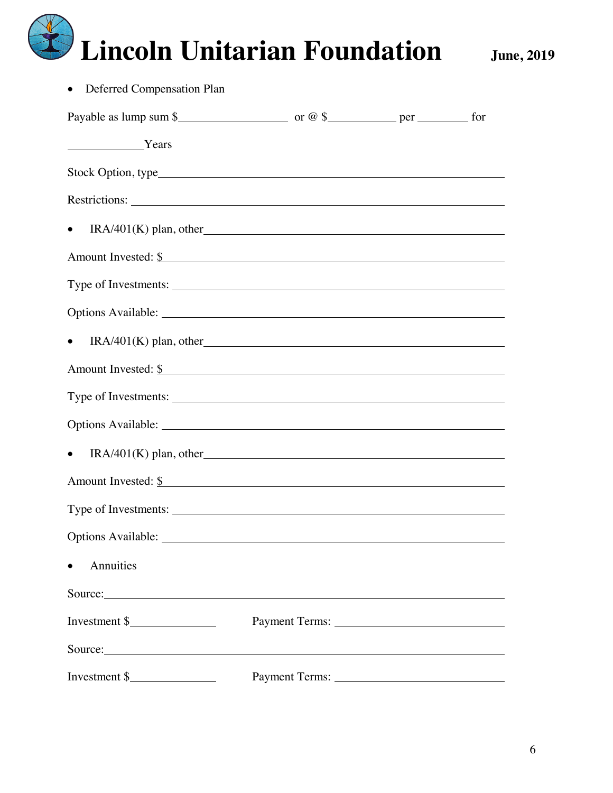| Deferred Compensation Plan            |  |  |
|---------------------------------------|--|--|
|                                       |  |  |
| Years Years                           |  |  |
|                                       |  |  |
|                                       |  |  |
| $IRA/401(K)$ plan, other<br>$\bullet$ |  |  |
| Amount Invested: <u>\$</u>            |  |  |
|                                       |  |  |
|                                       |  |  |
| $IRA/401(K)$ plan, other              |  |  |
| Amount Invested: \$                   |  |  |
|                                       |  |  |
|                                       |  |  |
| $IRA/401(K)$ plan, other              |  |  |
| Amount Invested: \$                   |  |  |
|                                       |  |  |
|                                       |  |  |
| Annuities                             |  |  |
| Source:                               |  |  |
| Investment $\frac{1}{2}$              |  |  |
| Source:                               |  |  |
| Investment \$                         |  |  |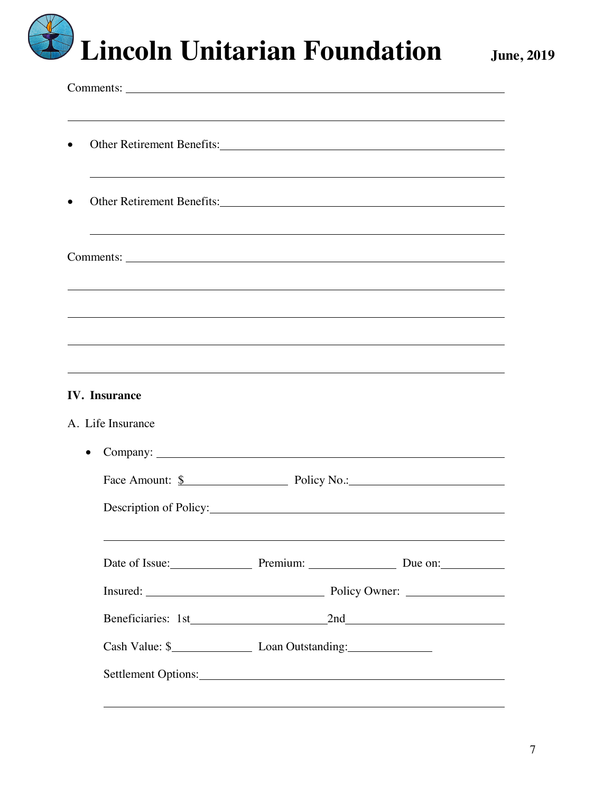| Other Retirement Benefits: 1997 and 1997 and 1997 and 1997 and 1997 and 1997 and 1997 and 1997 and 1997 and 19<br>$\bullet$                                                                                                                 |                                                |  |
|---------------------------------------------------------------------------------------------------------------------------------------------------------------------------------------------------------------------------------------------|------------------------------------------------|--|
| Other Retirement Benefits: New York Channels and School and School and School and School and School and School and School and School and School and School and School and School and School and School and School and School a<br>$\bullet$ |                                                |  |
|                                                                                                                                                                                                                                             |                                                |  |
|                                                                                                                                                                                                                                             |                                                |  |
| <u> 1989 - Johann Stoff, deutscher Stoff, der Stoff, deutscher Stoff, der Stoff, der Stoff, der Stoff, der Stoff, </u>                                                                                                                      |                                                |  |
| <b>IV.</b> Insurance                                                                                                                                                                                                                        |                                                |  |
| A. Life Insurance                                                                                                                                                                                                                           |                                                |  |
| $\bullet$                                                                                                                                                                                                                                   |                                                |  |
|                                                                                                                                                                                                                                             | Face Amount: <u>\$</u> Policy No.: Policy No.: |  |
|                                                                                                                                                                                                                                             | Description of Policy:                         |  |
|                                                                                                                                                                                                                                             | Date of Issue: Premium: Due on:                |  |
|                                                                                                                                                                                                                                             |                                                |  |
|                                                                                                                                                                                                                                             | Beneficiaries: 1st 2nd 2nd                     |  |
|                                                                                                                                                                                                                                             |                                                |  |
|                                                                                                                                                                                                                                             |                                                |  |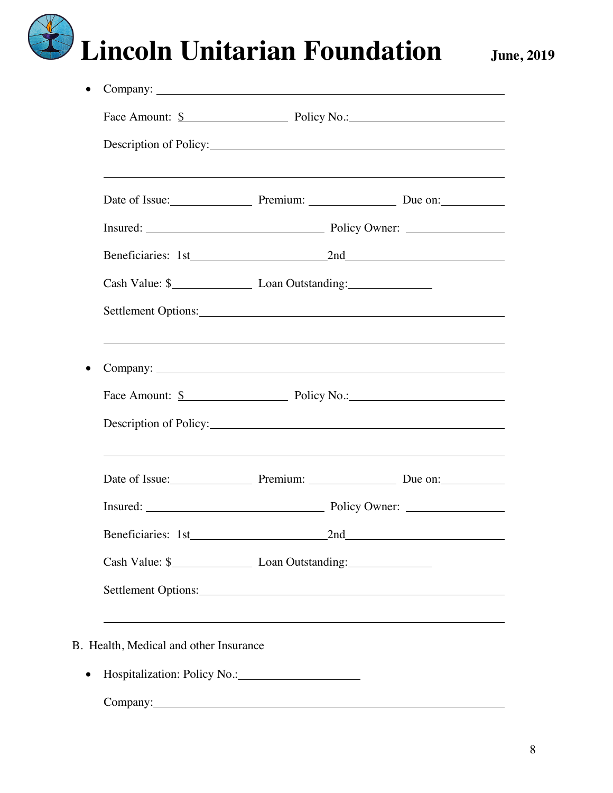|                     | Face Amount: <u>\$</u> Policy No.: Policy No.:                                                                                                                                                                                 |                                              |
|---------------------|--------------------------------------------------------------------------------------------------------------------------------------------------------------------------------------------------------------------------------|----------------------------------------------|
|                     |                                                                                                                                                                                                                                |                                              |
|                     | Date of Issue: Premium: Due on:                                                                                                                                                                                                |                                              |
|                     |                                                                                                                                                                                                                                |                                              |
|                     | Beneficiaries: 1st 2nd 2nd                                                                                                                                                                                                     |                                              |
|                     |                                                                                                                                                                                                                                |                                              |
|                     | Settlement Options: 2000 and 2000 and 2000 and 2000 and 2000 and 2000 and 2000 and 2000 and 2000 and 2000 and 2000 and 2000 and 2000 and 2000 and 2000 and 2000 and 2000 and 2000 and 2000 and 2000 and 2000 and 2000 and 2000 |                                              |
|                     |                                                                                                                                                                                                                                |                                              |
|                     | Face Amount: <u>\$</u> Policy No.: Policy No.:                                                                                                                                                                                 |                                              |
|                     | Description of Policy: Note that the same state of the state of the state of the state of the state of the state of the state of the state of the state of the state of the state of the state of the state of the state of th |                                              |
|                     | ,我们也不会有什么。""我们的人,我们也不会有什么?""我们的人,我们也不会有什么?""我们的人,我们也不会有什么?""我们的人,我们也不会有什么?""我们的人<br>Date of Issue: Premium: Due on:                                                                                                            |                                              |
|                     | Insured: Policy Owner:                                                                                                                                                                                                         |                                              |
| Beneficiaries: 1st_ | 2nd                                                                                                                                                                                                                            |                                              |
|                     |                                                                                                                                                                                                                                |                                              |
|                     | Settlement Options:                                                                                                                                                                                                            |                                              |
|                     |                                                                                                                                                                                                                                | <u> 1989 - Jan Salaman Salaman (j. 1989)</u> |

• Hospitalization: Policy No.:

Company: 2000 Company: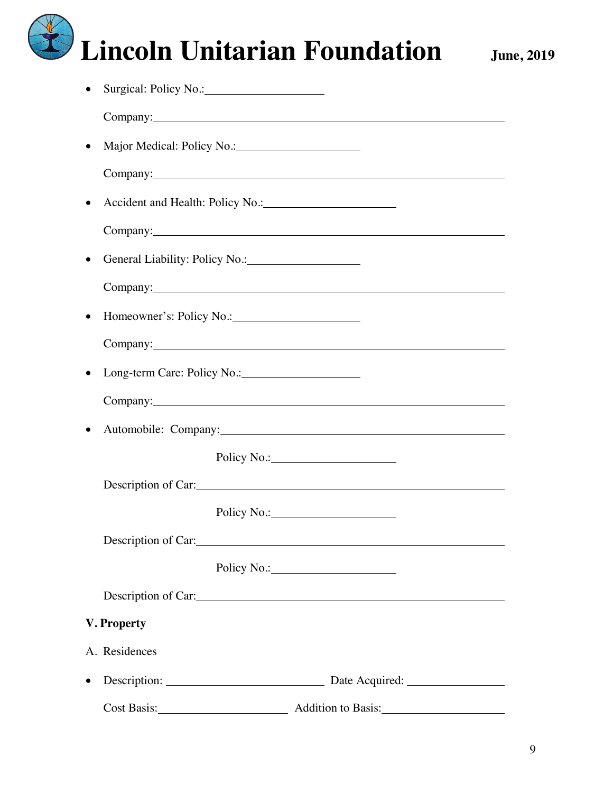|           | Company: Company:                                                                                                                                                                                                              |                     |
|-----------|--------------------------------------------------------------------------------------------------------------------------------------------------------------------------------------------------------------------------------|---------------------|
|           | Major Medical: Policy No.: 1997                                                                                                                                                                                                |                     |
|           |                                                                                                                                                                                                                                |                     |
|           | • Accident and Health: Policy No.: 1998                                                                                                                                                                                        |                     |
|           | Company: Company:                                                                                                                                                                                                              |                     |
|           | General Liability: Policy No.: 1996.                                                                                                                                                                                           |                     |
|           |                                                                                                                                                                                                                                | Company: Company:   |
| $\bullet$ |                                                                                                                                                                                                                                |                     |
|           | Company: Company:                                                                                                                                                                                                              |                     |
|           |                                                                                                                                                                                                                                |                     |
|           |                                                                                                                                                                                                                                | Company: Company:   |
|           |                                                                                                                                                                                                                                |                     |
|           |                                                                                                                                                                                                                                | Policy No.: 2008    |
|           |                                                                                                                                                                                                                                | Description of Car: |
|           |                                                                                                                                                                                                                                |                     |
|           | Description of Car: New York Care and Security and Security and Security and Security and Security and Security and Security and Security and Security and Security and Security and Security and Security and Security and Se |                     |
|           |                                                                                                                                                                                                                                |                     |
|           |                                                                                                                                                                                                                                |                     |
|           | V. Property                                                                                                                                                                                                                    |                     |
|           | A. Residences                                                                                                                                                                                                                  |                     |
|           | Description:                                                                                                                                                                                                                   |                     |
|           |                                                                                                                                                                                                                                |                     |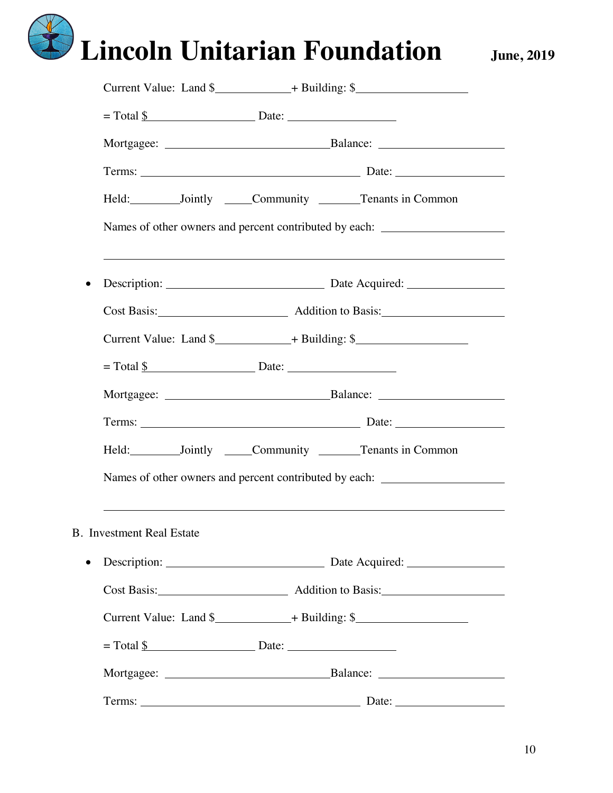|                                  | Current Value: Land \$_______________+ Building: \$_______________________________  |
|----------------------------------|-------------------------------------------------------------------------------------|
|                                  |                                                                                     |
|                                  |                                                                                     |
|                                  |                                                                                     |
|                                  | Held: ___________Jointly _______Community _________Tenants in Common                |
|                                  | Names of other owners and percent contributed by each:                              |
|                                  |                                                                                     |
|                                  |                                                                                     |
|                                  | Current Value: Land \$_______________+ Building: \$________________________________ |
|                                  |                                                                                     |
|                                  |                                                                                     |
|                                  |                                                                                     |
|                                  | Held: ___________Jointly ______Community ________Tenants in Common                  |
|                                  | Names of other owners and percent contributed by each:                              |
| <b>B.</b> Investment Real Estate | ,我们也不会有什么。""我们的人,我们也不会有什么?""我们的人,我们也不会有什么?""我们的人,我们的人,我们的人,我们的人,我们的人,我们的人,我们的人,我    |
|                                  | Description: Description: Date Acquired:                                            |
|                                  |                                                                                     |
|                                  | Current Value: Land \$________________+ Building: \$_______________________________ |
|                                  |                                                                                     |
|                                  |                                                                                     |
|                                  |                                                                                     |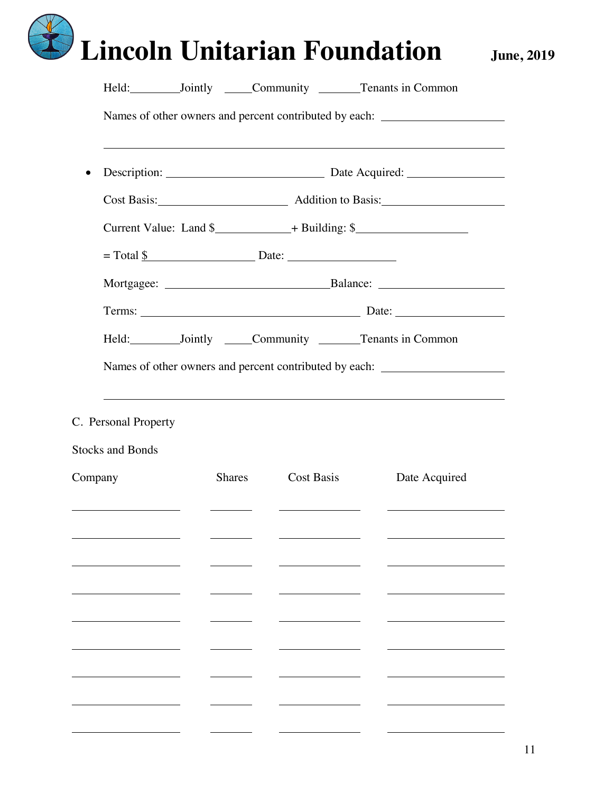|         | Held: ___________Jointly _______Community _________Tenants in Common             |  |               |                                |  |                                                                                    |  |
|---------|----------------------------------------------------------------------------------|--|---------------|--------------------------------|--|------------------------------------------------------------------------------------|--|
|         | Names of other owners and percent contributed by each: _________________________ |  |               |                                |  |                                                                                    |  |
|         |                                                                                  |  |               |                                |  |                                                                                    |  |
|         |                                                                                  |  |               |                                |  |                                                                                    |  |
|         |                                                                                  |  |               |                                |  | Current Value: Land \$________________+ Building: \$______________________________ |  |
|         | $= \text{Total } \frac{\mathbf{S}}{\mathbf{S}}$ Date:                            |  |               |                                |  |                                                                                    |  |
|         |                                                                                  |  |               |                                |  |                                                                                    |  |
|         |                                                                                  |  |               |                                |  |                                                                                    |  |
|         |                                                                                  |  |               |                                |  | Held: ____________Jointly _______Community _________Tenants in Common              |  |
|         |                                                                                  |  |               |                                |  | Names of other owners and percent contributed by each: _________________________   |  |
|         | C. Personal Property                                                             |  |               |                                |  |                                                                                    |  |
|         | <b>Stocks and Bonds</b>                                                          |  |               |                                |  |                                                                                    |  |
| Company |                                                                                  |  | <b>Shares</b> | Cost Basis                     |  | Date Acquired                                                                      |  |
|         |                                                                                  |  |               | <u> Alexandria de la conte</u> |  |                                                                                    |  |
|         |                                                                                  |  |               |                                |  |                                                                                    |  |
|         |                                                                                  |  |               |                                |  |                                                                                    |  |
|         |                                                                                  |  |               |                                |  |                                                                                    |  |
|         |                                                                                  |  |               |                                |  |                                                                                    |  |
|         |                                                                                  |  |               |                                |  |                                                                                    |  |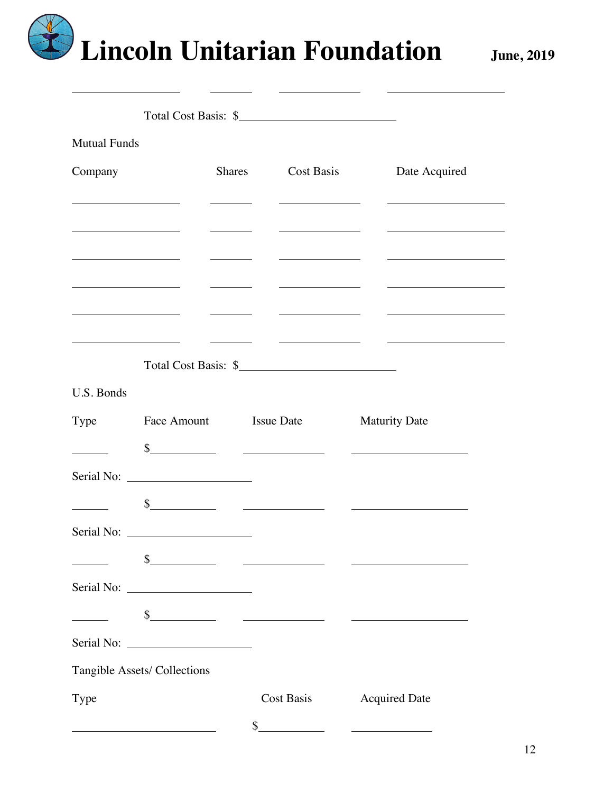|                                                                                                                      | Total Cost Basis: \$                                                                                                                                                                                                          |                                                                                                                         |                                                                                                                                                                                                                                      |                                   |
|----------------------------------------------------------------------------------------------------------------------|-------------------------------------------------------------------------------------------------------------------------------------------------------------------------------------------------------------------------------|-------------------------------------------------------------------------------------------------------------------------|--------------------------------------------------------------------------------------------------------------------------------------------------------------------------------------------------------------------------------------|-----------------------------------|
| <b>Mutual Funds</b>                                                                                                  |                                                                                                                                                                                                                               |                                                                                                                         |                                                                                                                                                                                                                                      |                                   |
| Company                                                                                                              |                                                                                                                                                                                                                               | <b>Shares</b>                                                                                                           | Cost Basis                                                                                                                                                                                                                           | Date Acquired                     |
| <u> 1980 - Johann Barbara, martin a</u>                                                                              |                                                                                                                                                                                                                               |                                                                                                                         |                                                                                                                                                                                                                                      |                                   |
| <u> 1989 - Andrea Andrew Maria Barat (</u>                                                                           |                                                                                                                                                                                                                               | <u>and the state of the state</u>                                                                                       | <u> Alexandria de la contextual de la contextual de la contextual de la contextual de la contextual de la contextual de la contextual de la contextual de la contextual de la contextual de la contextual de la contextual de la</u> |                                   |
|                                                                                                                      |                                                                                                                                                                                                                               | $\sim$ $\sim$                                                                                                           |                                                                                                                                                                                                                                      |                                   |
|                                                                                                                      |                                                                                                                                                                                                                               |                                                                                                                         |                                                                                                                                                                                                                                      |                                   |
| <u> 1989 - Johann Barbara, martin a</u>                                                                              |                                                                                                                                                                                                                               | <u> Albanya di Barat Barat di Barat Barat di Barat di Barat di Barat di Barat di Barat di Barat di Barat di Barat d</u> |                                                                                                                                                                                                                                      | <u> Albanya (Albanya Albanya)</u> |
|                                                                                                                      |                                                                                                                                                                                                                               |                                                                                                                         |                                                                                                                                                                                                                                      |                                   |
| <u> 1980 - Jan Barbara Barbara, prima popular popular popular popular popular popular popular popular popular po</u> |                                                                                                                                                                                                                               |                                                                                                                         | <u> 1980 - John Stone, amerikansk politiker (d. 1980)</u>                                                                                                                                                                            | <u> Alexandro de la conte</u>     |
|                                                                                                                      | Total Cost Basis: \$                                                                                                                                                                                                          |                                                                                                                         |                                                                                                                                                                                                                                      |                                   |
| U.S. Bonds                                                                                                           |                                                                                                                                                                                                                               |                                                                                                                         |                                                                                                                                                                                                                                      |                                   |
| Type                                                                                                                 | Face Amount Issue Date                                                                                                                                                                                                        |                                                                                                                         |                                                                                                                                                                                                                                      | <b>Maturity Date</b>              |
|                                                                                                                      | $s$ and $s$ and $s$ and $s$ and $s$ and $s$ and $s$ and $s$ and $s$ and $s$ and $s$ and $s$ and $s$ and $s$ and $s$ and $s$ and $s$ and $s$ and $s$ and $s$ and $s$ and $s$ and $s$ and $s$ and $s$ and $s$ and $s$ and $s$ a |                                                                                                                         |                                                                                                                                                                                                                                      |                                   |
|                                                                                                                      |                                                                                                                                                                                                                               |                                                                                                                         |                                                                                                                                                                                                                                      |                                   |
|                                                                                                                      | $\frac{1}{2}$                                                                                                                                                                                                                 |                                                                                                                         |                                                                                                                                                                                                                                      |                                   |
|                                                                                                                      |                                                                                                                                                                                                                               |                                                                                                                         |                                                                                                                                                                                                                                      |                                   |
|                                                                                                                      | \$                                                                                                                                                                                                                            |                                                                                                                         | <u>and the community of the community of the community of the community of the community of the community of the community of the community of the community of the community of the community of the community of the community</u> |                                   |
|                                                                                                                      |                                                                                                                                                                                                                               |                                                                                                                         |                                                                                                                                                                                                                                      |                                   |
|                                                                                                                      |                                                                                                                                                                                                                               |                                                                                                                         |                                                                                                                                                                                                                                      |                                   |
|                                                                                                                      | $s$ and $s$ and $s$ and $s$ and $s$ and $s$ and $s$ and $s$ and $s$ and $s$ and $s$ and $s$ and $s$ and $s$ and $s$ and $s$ and $s$ and $s$ and $s$ and $s$ and $s$ and $s$ and $s$ and $s$ and $s$ and $s$ and $s$ and $s$ a |                                                                                                                         |                                                                                                                                                                                                                                      |                                   |
|                                                                                                                      |                                                                                                                                                                                                                               |                                                                                                                         |                                                                                                                                                                                                                                      |                                   |
|                                                                                                                      | Tangible Assets/ Collections                                                                                                                                                                                                  |                                                                                                                         |                                                                                                                                                                                                                                      |                                   |
| Type                                                                                                                 |                                                                                                                                                                                                                               |                                                                                                                         | Cost Basis                                                                                                                                                                                                                           | <b>Acquired Date</b>              |
|                                                                                                                      |                                                                                                                                                                                                                               |                                                                                                                         | \$                                                                                                                                                                                                                                   |                                   |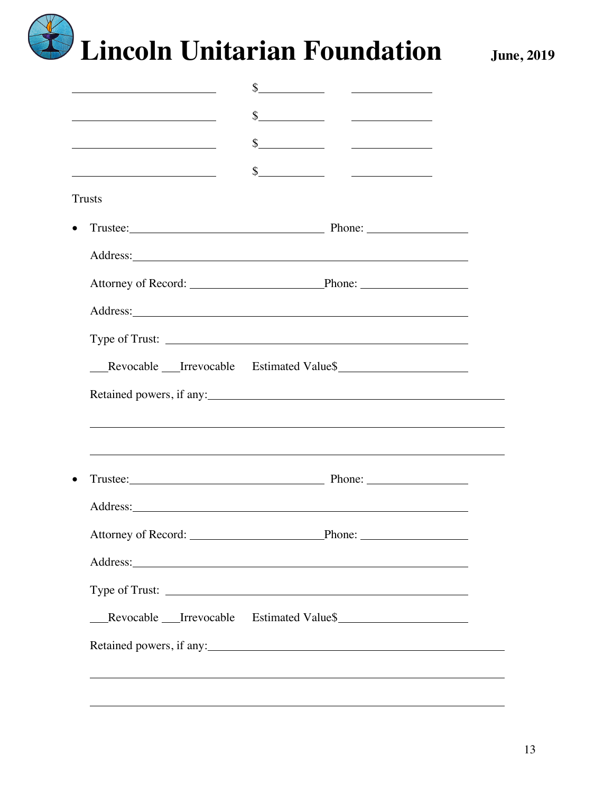| <u> 1989 - Johann Barbara, martin amerikan basar dan basa dan basa dan basa dalam basa dalam basa dalam basa dan</u>                                                                                                                          | $\frac{1}{2}$ $\frac{1}{2}$ $\frac{1}{2}$ $\frac{1}{2}$ $\frac{1}{2}$ $\frac{1}{2}$ $\frac{1}{2}$ $\frac{1}{2}$ $\frac{1}{2}$ $\frac{1}{2}$ $\frac{1}{2}$ $\frac{1}{2}$ $\frac{1}{2}$ $\frac{1}{2}$ $\frac{1}{2}$ $\frac{1}{2}$ $\frac{1}{2}$ $\frac{1}{2}$ $\frac{1}{2}$ $\frac{1}{2}$ $\frac{1}{2}$ $\frac{1}{2}$ |  |
|-----------------------------------------------------------------------------------------------------------------------------------------------------------------------------------------------------------------------------------------------|---------------------------------------------------------------------------------------------------------------------------------------------------------------------------------------------------------------------------------------------------------------------------------------------------------------------|--|
| <u> 1980 - Johann Barbara, martin amerikan basar dan basar dalam basar dalam basar dalam basar dalam basar dalam</u><br><u> 1989 - Johann Barbara, martin amerikan basar dan basa dan basa dan basa dalam basa dalam basa dalam basa dala</u> | $\frac{1}{2}$<br>$s$ and $s$ and $s$ and $s$ and $s$ and $s$ and $s$ and $s$ and $s$ and $s$ and $s$ and $s$ and $s$ and $s$ and $s$ and $s$ and $s$ and $s$ and $s$ and $s$ and $s$ and $s$ and $s$ and $s$ and $s$ and $s$ and $s$ and $s$ a                                                                      |  |
| Trusts                                                                                                                                                                                                                                        |                                                                                                                                                                                                                                                                                                                     |  |
|                                                                                                                                                                                                                                               | Trustee: Phone: Phone:                                                                                                                                                                                                                                                                                              |  |
|                                                                                                                                                                                                                                               | Address: <u>example and the set of the set of the set of the set of the set of the set of the set of the set of the set of the set of the set of the set of the set of the set of the set of the set of the set of the set of th</u>                                                                                |  |
|                                                                                                                                                                                                                                               |                                                                                                                                                                                                                                                                                                                     |  |
|                                                                                                                                                                                                                                               |                                                                                                                                                                                                                                                                                                                     |  |
|                                                                                                                                                                                                                                               |                                                                                                                                                                                                                                                                                                                     |  |
|                                                                                                                                                                                                                                               |                                                                                                                                                                                                                                                                                                                     |  |
|                                                                                                                                                                                                                                               | Revocable Irrevocable Estimated Value\$                                                                                                                                                                                                                                                                             |  |
|                                                                                                                                                                                                                                               |                                                                                                                                                                                                                                                                                                                     |  |
|                                                                                                                                                                                                                                               | Trustee: Phone: Phone:                                                                                                                                                                                                                                                                                              |  |
|                                                                                                                                                                                                                                               |                                                                                                                                                                                                                                                                                                                     |  |
|                                                                                                                                                                                                                                               |                                                                                                                                                                                                                                                                                                                     |  |
|                                                                                                                                                                                                                                               | Address: <u>Quarterial and the contract of the contract of the contract of the contract of the contract of the contract of the contract of the contract of the contract of the contract of the contract of the contract of the c</u>                                                                                |  |
|                                                                                                                                                                                                                                               |                                                                                                                                                                                                                                                                                                                     |  |
|                                                                                                                                                                                                                                               |                                                                                                                                                                                                                                                                                                                     |  |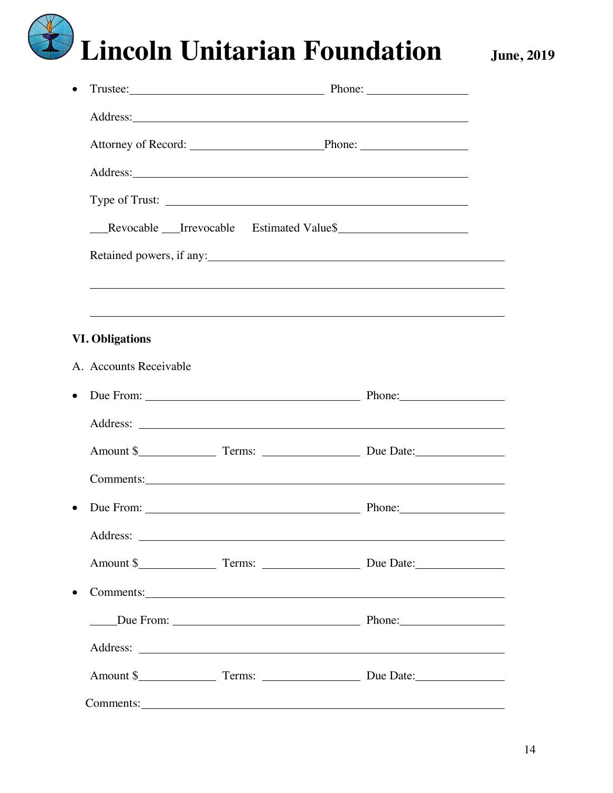#### 14

| $\bullet$              | Trustee: Phone: Phone:                                                                                                                                                                                                              |  |
|------------------------|-------------------------------------------------------------------------------------------------------------------------------------------------------------------------------------------------------------------------------------|--|
|                        | Address: <u>Address</u> and the contract of the contract of the contract of the contract of the contract of the contract of the contract of the contract of the contract of the contract of the contract of the contract of the con |  |
|                        | Attorney of Record: Phone: Phone:                                                                                                                                                                                                   |  |
|                        |                                                                                                                                                                                                                                     |  |
|                        |                                                                                                                                                                                                                                     |  |
|                        | Revocable Irrevocable Estimated Value\$                                                                                                                                                                                             |  |
|                        | Retained powers, if any:                                                                                                                                                                                                            |  |
|                        |                                                                                                                                                                                                                                     |  |
|                        |                                                                                                                                                                                                                                     |  |
| <b>VI. Obligations</b> |                                                                                                                                                                                                                                     |  |
| A. Accounts Receivable |                                                                                                                                                                                                                                     |  |
| $\bullet$              | Due From: New York 1989 and 2008 and 2008 and 2008 and 2008 and 2008 and 2008 and 2008 and 2008 and 2008 and 2008 and 2008 and 2008 and 2008 and 2008 and 2008 and 2008 and 2008 and 2008 and 2008 and 2008 and 2008 and 2008       |  |
|                        |                                                                                                                                                                                                                                     |  |
|                        |                                                                                                                                                                                                                                     |  |
|                        | Comments: Comments: Comments: Comments: Comments: Comments: Comments: Comments: Comments: Comments: Comments: Comments: Comments: Comments: Comments: Comments: Comments: Comments: Comments: Comments: Comments: Comments: Co      |  |
| $\bullet$              | Due From: <u>New York: Phone:</u> Phone: Phone:                                                                                                                                                                                     |  |
|                        |                                                                                                                                                                                                                                     |  |
|                        |                                                                                                                                                                                                                                     |  |
| $\bullet$              | Comments: <u>comments</u> and comments and comments are continued as a series of the continued and continued and continued and continued and continued and continued and continued and continued and continued and continued and co |  |
|                        | Due From: Due From: 2008 Phone: 2008 Phone:                                                                                                                                                                                         |  |
|                        |                                                                                                                                                                                                                                     |  |
|                        |                                                                                                                                                                                                                                     |  |
|                        | Comments: Comments:                                                                                                                                                                                                                 |  |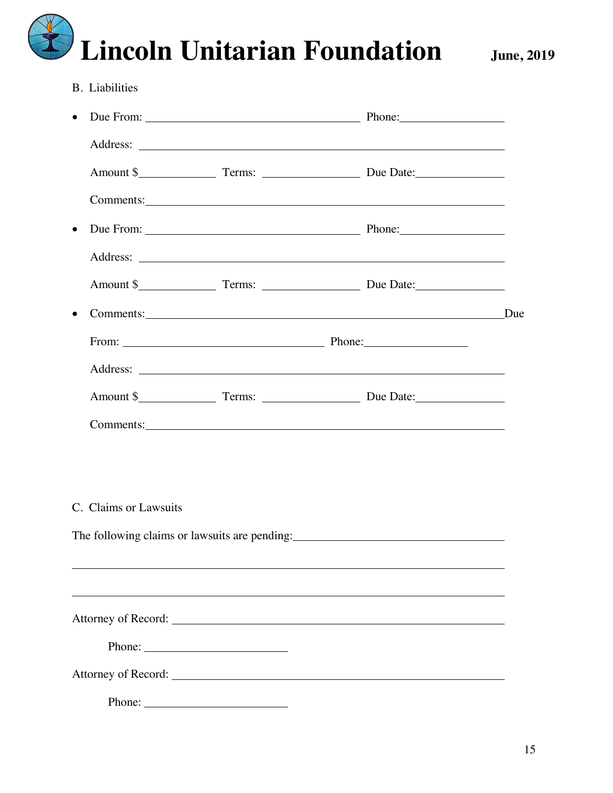B. Liabilities

| $\bullet$ |                                                                                                                                                                                                                                |  |
|-----------|--------------------------------------------------------------------------------------------------------------------------------------------------------------------------------------------------------------------------------|--|
|           |                                                                                                                                                                                                                                |  |
|           |                                                                                                                                                                                                                                |  |
|           | Comments: Comments:                                                                                                                                                                                                            |  |
| $\bullet$ |                                                                                                                                                                                                                                |  |
|           |                                                                                                                                                                                                                                |  |
|           |                                                                                                                                                                                                                                |  |
| $\bullet$ | Comments: Due                                                                                                                                                                                                                  |  |
|           |                                                                                                                                                                                                                                |  |
|           |                                                                                                                                                                                                                                |  |
|           |                                                                                                                                                                                                                                |  |
|           | Comments: Note of the Comments of the Comments of the Comments of the Comments of the Comments of the Comments of the Comments of the Comments of the Comments of the Comments of the Comments of the Comments of the Comments |  |
|           |                                                                                                                                                                                                                                |  |
|           |                                                                                                                                                                                                                                |  |
|           | C. Claims or Lawsuits                                                                                                                                                                                                          |  |
|           | The following claims or lawsuits are pending: ___________________________________                                                                                                                                              |  |
|           |                                                                                                                                                                                                                                |  |
|           |                                                                                                                                                                                                                                |  |
|           |                                                                                                                                                                                                                                |  |
|           |                                                                                                                                                                                                                                |  |
|           |                                                                                                                                                                                                                                |  |
|           | Phone: $\qquad \qquad$                                                                                                                                                                                                         |  |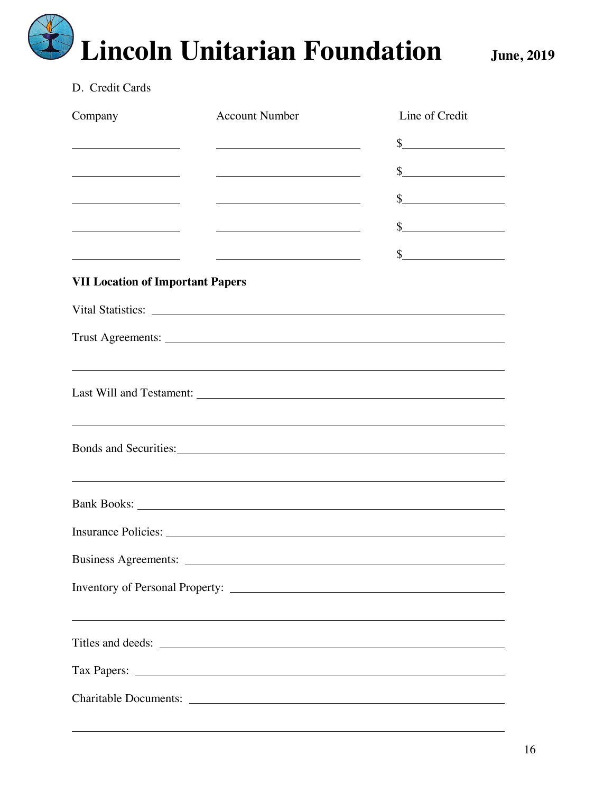#### D. Credit Cards

| Company                                                                                                             | <b>Account Number</b>                                                                                                  | Line of Credit                                                                                                                                                                                                                                                                                                      |
|---------------------------------------------------------------------------------------------------------------------|------------------------------------------------------------------------------------------------------------------------|---------------------------------------------------------------------------------------------------------------------------------------------------------------------------------------------------------------------------------------------------------------------------------------------------------------------|
| <u> 1989 - Johann Barbara, martin d</u>                                                                             |                                                                                                                        | $\frac{1}{2}$                                                                                                                                                                                                                                                                                                       |
| <u> 1980 - Johann Barn, mars eta bainar eta baina eta baina eta baina eta baina eta baina eta baina eta baina e</u> | <u> 1989 - Johann Stoff, deutscher Stoffen und der Stoffen und der Stoffen und der Stoffen und der Stoffen und der</u> | $\frac{1}{2}$                                                                                                                                                                                                                                                                                                       |
| <u> 1989 - Johann Barn, fransk politik (d. 1989)</u>                                                                | <u> 1980 - Johann Barbara, martxa alemaniar amerikan a</u>                                                             | $\frac{1}{2}$                                                                                                                                                                                                                                                                                                       |
|                                                                                                                     |                                                                                                                        | $\frac{1}{2}$                                                                                                                                                                                                                                                                                                       |
| the contract of the contract of the contract of the contract of the contract of                                     | <u> 1989 - Johann Barbara, martin amerikan basar da</u>                                                                | $\frac{1}{2}$                                                                                                                                                                                                                                                                                                       |
| <b>VII Location of Important Papers</b>                                                                             |                                                                                                                        |                                                                                                                                                                                                                                                                                                                     |
|                                                                                                                     | Vital Statistics: National Contract of the Statistics: National Contract of the Statistics:                            |                                                                                                                                                                                                                                                                                                                     |
|                                                                                                                     |                                                                                                                        |                                                                                                                                                                                                                                                                                                                     |
|                                                                                                                     |                                                                                                                        |                                                                                                                                                                                                                                                                                                                     |
|                                                                                                                     |                                                                                                                        |                                                                                                                                                                                                                                                                                                                     |
|                                                                                                                     |                                                                                                                        |                                                                                                                                                                                                                                                                                                                     |
|                                                                                                                     |                                                                                                                        | ,我们也不能会有一个人的事情。""我们的人们是不是我们的人,我们也不能会有一个人的人,我们也不能会有一个人的人,我们也不能会有一个人的人,我们也不能会有一个人的人<br>Bank Books: New York School and School and School and School and School and School and School and School and School and School and School and School and School and School and School and School and School and School and Sch |
|                                                                                                                     |                                                                                                                        |                                                                                                                                                                                                                                                                                                                     |
| <b>Business Agreements:</b>                                                                                         |                                                                                                                        |                                                                                                                                                                                                                                                                                                                     |
|                                                                                                                     |                                                                                                                        |                                                                                                                                                                                                                                                                                                                     |
|                                                                                                                     | ,我们也不会有什么。""我们的人,我们也不会有什么?""我们的人,我们也不会有什么?""我们的人,我们也不会有什么?""我们的人,我们也不会有什么?""我们的人                                       |                                                                                                                                                                                                                                                                                                                     |
|                                                                                                                     |                                                                                                                        |                                                                                                                                                                                                                                                                                                                     |
|                                                                                                                     |                                                                                                                        |                                                                                                                                                                                                                                                                                                                     |
|                                                                                                                     | Charitable Documents:                                                                                                  |                                                                                                                                                                                                                                                                                                                     |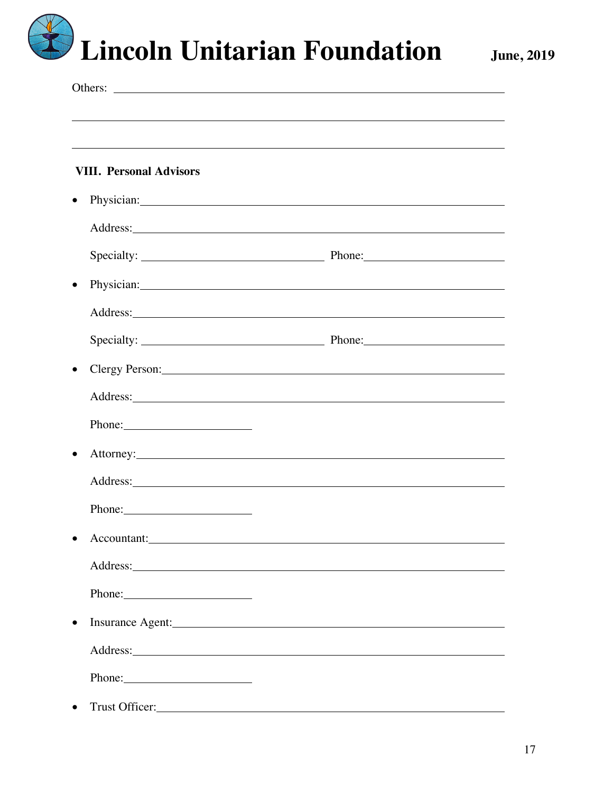|           | <b>VIII. Personal Advisors</b>                                                                                                                                                                                                 |                                                                                                                                                                                                                                      |  |
|-----------|--------------------------------------------------------------------------------------------------------------------------------------------------------------------------------------------------------------------------------|--------------------------------------------------------------------------------------------------------------------------------------------------------------------------------------------------------------------------------------|--|
|           | Physician: New York Changes and the Changes of the Changes of the Changes of the Changes of the Changes of the Changes of the Changes of the Changes of the Changes of the Changes of the Changes of the Changes of the Change |                                                                                                                                                                                                                                      |  |
|           |                                                                                                                                                                                                                                | Address: <u>Address</u> and the contract of the contract of the contract of the contract of the contract of the contract of the contract of the contract of the contract of the contract of the contract of the contract of the con  |  |
|           |                                                                                                                                                                                                                                |                                                                                                                                                                                                                                      |  |
|           |                                                                                                                                                                                                                                | Physician: <u>contract and contract and contract and contract and contract and contract and contract and contract and contract and contract and contract and contract and contract and contract and contract and contract and co</u> |  |
|           |                                                                                                                                                                                                                                |                                                                                                                                                                                                                                      |  |
|           |                                                                                                                                                                                                                                |                                                                                                                                                                                                                                      |  |
|           |                                                                                                                                                                                                                                | Clergy Person: Note that the contract of the contract of the contract of the contract of the contract of the contract of the contract of the contract of the contract of the contract of the contract of the contract of the c       |  |
|           |                                                                                                                                                                                                                                |                                                                                                                                                                                                                                      |  |
|           | Phone: 2008                                                                                                                                                                                                                    |                                                                                                                                                                                                                                      |  |
|           |                                                                                                                                                                                                                                |                                                                                                                                                                                                                                      |  |
|           |                                                                                                                                                                                                                                |                                                                                                                                                                                                                                      |  |
|           | Phone:                                                                                                                                                                                                                         |                                                                                                                                                                                                                                      |  |
|           | Accountant: New York Counter and Second Second Second Second Second Second Second Second Second Second Second Second Second Second Second Second Second Second Second Second Second Second Second Second Second Second Second  |                                                                                                                                                                                                                                      |  |
|           |                                                                                                                                                                                                                                |                                                                                                                                                                                                                                      |  |
|           | Phone: 2008                                                                                                                                                                                                                    |                                                                                                                                                                                                                                      |  |
| $\bullet$ | Insurance Agent: 1000 million and the state of the state of the state of the state of the state of the state of the state of the state of the state of the state of the state of the state of the state of the state of the st |                                                                                                                                                                                                                                      |  |
|           |                                                                                                                                                                                                                                |                                                                                                                                                                                                                                      |  |
|           |                                                                                                                                                                                                                                |                                                                                                                                                                                                                                      |  |
| $\bullet$ |                                                                                                                                                                                                                                |                                                                                                                                                                                                                                      |  |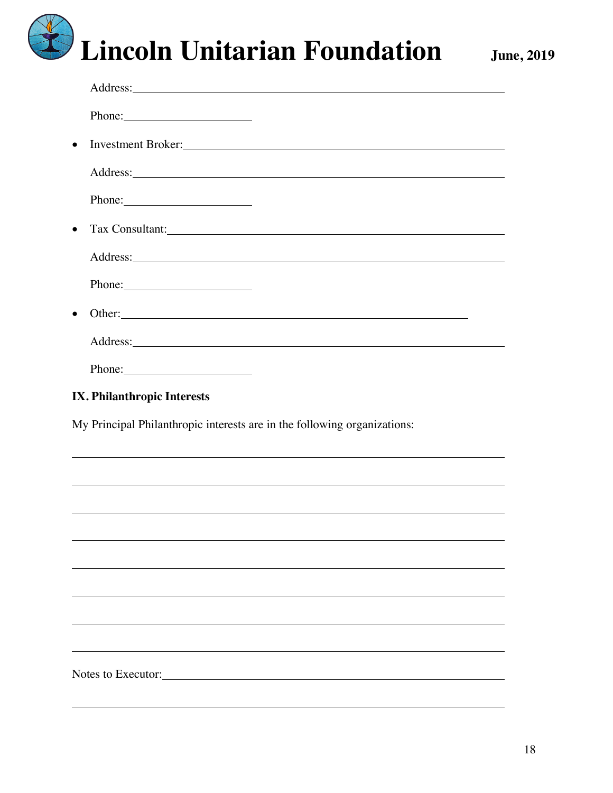|           | Address: <u>example and the set of the set of the set of the set of the set of the set of the set of the set of the set of the set of the set of the set of the set of the set of the set of the set of the set of the set of th</u> |
|-----------|--------------------------------------------------------------------------------------------------------------------------------------------------------------------------------------------------------------------------------------|
|           | Phone: 2000                                                                                                                                                                                                                          |
| $\bullet$ | Investment Broker:                                                                                                                                                                                                                   |
|           |                                                                                                                                                                                                                                      |
|           | Phone:                                                                                                                                                                                                                               |
| $\bullet$ |                                                                                                                                                                                                                                      |
|           |                                                                                                                                                                                                                                      |
|           | Phone:                                                                                                                                                                                                                               |
| $\bullet$ | Other: <u>contract the contract of the contract of the contract of the contract of the contract of the contract of the contract of the contract of the contract of the contract of the contract of the contract of the contract </u> |
|           |                                                                                                                                                                                                                                      |
|           | Phone: 2008                                                                                                                                                                                                                          |
|           | <b>IX. Philanthropic Interests</b>                                                                                                                                                                                                   |
|           | My Principal Philanthropic interests are in the following organizations:                                                                                                                                                             |
|           |                                                                                                                                                                                                                                      |
|           |                                                                                                                                                                                                                                      |
|           |                                                                                                                                                                                                                                      |
|           |                                                                                                                                                                                                                                      |
|           |                                                                                                                                                                                                                                      |
|           |                                                                                                                                                                                                                                      |
|           |                                                                                                                                                                                                                                      |
|           |                                                                                                                                                                                                                                      |
|           | Notes to Executor:                                                                                                                                                                                                                   |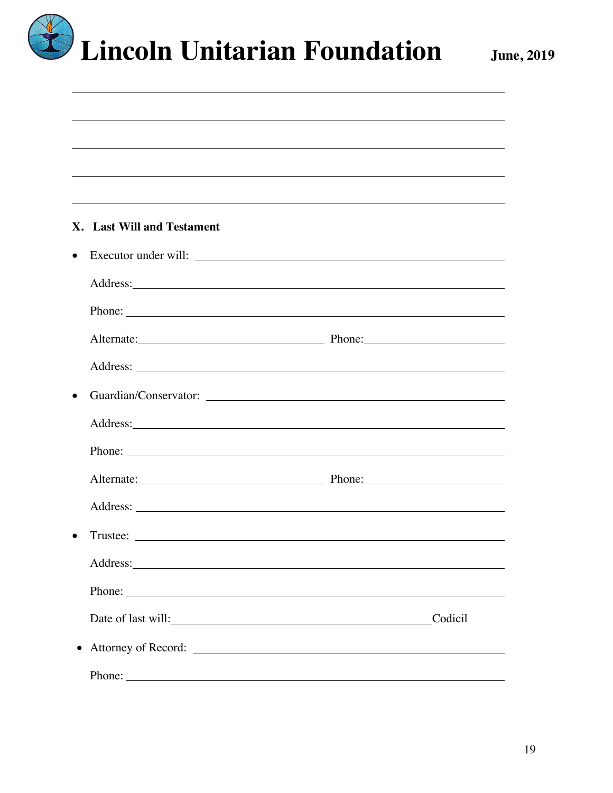

|           | <b>X.</b> Last Will and Testament                                                                                                                                                                                              |         |
|-----------|--------------------------------------------------------------------------------------------------------------------------------------------------------------------------------------------------------------------------------|---------|
| $\bullet$ | Executor under will:                                                                                                                                                                                                           |         |
|           | Address: Note that the contract of the contract of the contract of the contract of the contract of the contract of the contract of the contract of the contract of the contract of the contract of the contract of the contrac |         |
|           |                                                                                                                                                                                                                                |         |
|           | Alternate: Phone: Phone:                                                                                                                                                                                                       |         |
|           |                                                                                                                                                                                                                                |         |
|           |                                                                                                                                                                                                                                |         |
|           |                                                                                                                                                                                                                                |         |
|           |                                                                                                                                                                                                                                |         |
|           | Alternate: Phone: Phone:                                                                                                                                                                                                       |         |
|           |                                                                                                                                                                                                                                |         |
|           |                                                                                                                                                                                                                                |         |
|           |                                                                                                                                                                                                                                |         |
|           | Phone:                                                                                                                                                                                                                         |         |
|           | Date of last will:<br><u>Date of last will:</u>                                                                                                                                                                                | Codicil |
| $\bullet$ |                                                                                                                                                                                                                                |         |
|           | Phone:                                                                                                                                                                                                                         |         |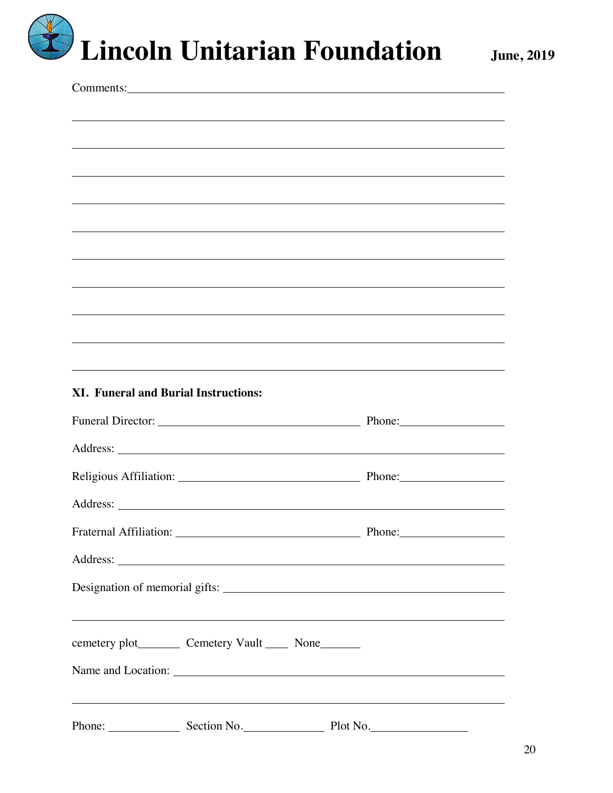| Comments:                                                                                                                                                                                                                          |        |
|------------------------------------------------------------------------------------------------------------------------------------------------------------------------------------------------------------------------------------|--------|
|                                                                                                                                                                                                                                    |        |
|                                                                                                                                                                                                                                    |        |
|                                                                                                                                                                                                                                    |        |
|                                                                                                                                                                                                                                    |        |
| <u> 1989 - Johann Stoff, amerikansk politiker (* 1908)</u>                                                                                                                                                                         |        |
|                                                                                                                                                                                                                                    |        |
|                                                                                                                                                                                                                                    |        |
| <u>and the state of the state of the state of the state of the state of the state of the state of the state of th</u>                                                                                                              |        |
|                                                                                                                                                                                                                                    |        |
|                                                                                                                                                                                                                                    |        |
|                                                                                                                                                                                                                                    |        |
|                                                                                                                                                                                                                                    |        |
|                                                                                                                                                                                                                                    |        |
|                                                                                                                                                                                                                                    |        |
| ,我们也不会有什么。""我们的人,我们也不会有什么?""我们的人,我们也不会有什么?""我们的人,我们也不会有什么?""我们的人,我们也不会有什么?""我们的人                                                                                                                                                   |        |
|                                                                                                                                                                                                                                    |        |
| <b>XI. Funeral and Burial Instructions:</b>                                                                                                                                                                                        |        |
|                                                                                                                                                                                                                                    |        |
|                                                                                                                                                                                                                                    |        |
|                                                                                                                                                                                                                                    | Phone: |
| Address: <u>Note</u> 2008. The second state of the second state of the second state of the second state of the second state of the second state of the second state of the second state of the second state of the second state of |        |
|                                                                                                                                                                                                                                    |        |
|                                                                                                                                                                                                                                    |        |
|                                                                                                                                                                                                                                    |        |
| cemetery plot__________ Cemetery Vault ______ None________                                                                                                                                                                         |        |
|                                                                                                                                                                                                                                    |        |
| ,我们也不会有什么。""我们的人,我们也不会有什么?""我们的人,我们也不会有什么?""我们的人,我们也不会有什么?""我们的人,我们也不会有什么?""我们的人<br>Phone: Section No. Plot No.                                                                                                                    |        |